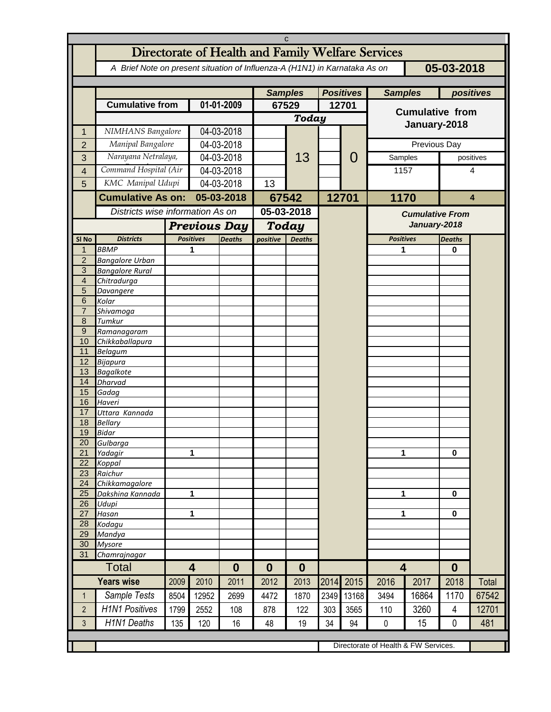| C                     |                                                                                          |                                  |                                   |                  |                           |                |       |       |                        |                        |               |       |  |
|-----------------------|------------------------------------------------------------------------------------------|----------------------------------|-----------------------------------|------------------|---------------------------|----------------|-------|-------|------------------------|------------------------|---------------|-------|--|
|                       | Directorate of Health and Family Welfare Services                                        |                                  |                                   |                  |                           |                |       |       |                        |                        |               |       |  |
|                       | 05-03-2018<br>A Brief Note on present situation of Influenza-A (H1N1) in Karnataka As on |                                  |                                   |                  |                           |                |       |       |                        |                        |               |       |  |
|                       |                                                                                          |                                  |                                   |                  |                           |                |       |       |                        |                        |               |       |  |
|                       |                                                                                          | <b>Samples</b>                   |                                   | <b>Positives</b> |                           | <b>Samples</b> |       |       | positives              |                        |               |       |  |
|                       | <b>Cumulative from</b>                                                                   |                                  | 01-01-2009                        |                  | 67529                     |                | 12701 |       | <b>Cumulative from</b> |                        |               |       |  |
|                       |                                                                                          |                                  |                                   |                  | Today                     |                |       |       |                        |                        |               |       |  |
| 1                     | NIMHANS Bangalore                                                                        |                                  | 04-03-2018                        |                  |                           |                |       |       | January-2018           |                        |               |       |  |
| $\overline{2}$        | Manipal Bangalore                                                                        |                                  | 04-03-2018                        |                  |                           |                |       |       | Previous Day           |                        |               |       |  |
|                       | Narayana Netralaya,                                                                      |                                  | 04-03-2018                        |                  |                           | 13             |       | 0     | Samples                |                        | positives     |       |  |
| 3                     | Command Hospital (Air                                                                    |                                  |                                   |                  |                           |                |       |       | 1157                   |                        | 4             |       |  |
| $\overline{4}$        | KMC Manipal Udupi                                                                        |                                  | 04-03-2018                        |                  |                           |                |       |       |                        |                        |               |       |  |
| 5                     |                                                                                          |                                  | 04-03-2018                        |                  | 13                        |                |       |       |                        |                        |               |       |  |
|                       | <b>Cumulative As on:</b>                                                                 |                                  | 05-03-2018                        |                  | 67542                     |                |       | 12701 |                        | 1170                   |               | 4     |  |
|                       |                                                                                          | Districts wise information As on |                                   |                  | 05-03-2018                |                |       |       |                        | <b>Cumulative From</b> |               |       |  |
|                       |                                                                                          | <b>Previous Day</b>              |                                   |                  | Today                     |                |       |       |                        | January-2018           |               |       |  |
| SI <sub>No</sub>      | <b>Districts</b>                                                                         |                                  | <b>Deaths</b><br><b>Positives</b> |                  | positive<br><b>Deaths</b> |                |       |       | <b>Positives</b>       |                        | <b>Deaths</b> |       |  |
| $\mathbf 1$           | <b>BBMP</b>                                                                              |                                  | 1                                 |                  |                           |                |       |       | 1                      |                        | 0             |       |  |
| $\overline{2}$        | <b>Bangalore Urban</b>                                                                   |                                  |                                   |                  |                           |                |       |       |                        |                        |               |       |  |
| 3<br>$\overline{4}$   | <b>Bangalore Rural</b><br>Chitradurga                                                    |                                  |                                   |                  |                           |                |       |       |                        |                        |               |       |  |
| 5                     | Davangere                                                                                |                                  |                                   |                  |                           |                |       |       |                        |                        |               |       |  |
| 6                     | Kolar                                                                                    |                                  |                                   |                  |                           |                |       |       |                        |                        |               |       |  |
| $\overline{7}$        | Shivamoga                                                                                |                                  |                                   |                  |                           |                |       |       |                        |                        |               |       |  |
| 8                     | Tumkur                                                                                   |                                  |                                   |                  |                           |                |       |       |                        |                        |               |       |  |
| 9<br>10               | Ramanagaram                                                                              |                                  |                                   |                  |                           |                |       |       |                        |                        |               |       |  |
| 11                    | Chikkaballapura<br><b>Belagum</b>                                                        |                                  |                                   |                  |                           |                |       |       |                        |                        |               |       |  |
| 12                    | Bijapura                                                                                 |                                  |                                   |                  |                           |                |       |       |                        |                        |               |       |  |
| 13                    | <b>Bagalkote</b>                                                                         |                                  |                                   |                  |                           |                |       |       |                        |                        |               |       |  |
| 14                    | <b>Dharvad</b>                                                                           |                                  |                                   |                  |                           |                |       |       |                        |                        |               |       |  |
| 15                    | Gadag                                                                                    |                                  |                                   |                  |                           |                |       |       |                        |                        |               |       |  |
| 16<br>17              | Haveri<br>Uttara Kannada                                                                 |                                  |                                   |                  |                           |                |       |       |                        |                        |               |       |  |
| 18                    | <b>Bellary</b>                                                                           |                                  |                                   |                  |                           |                |       |       |                        |                        |               |       |  |
| 19                    | Bidar                                                                                    |                                  |                                   |                  |                           |                |       |       |                        |                        |               |       |  |
| 20                    | Gulbarga                                                                                 |                                  |                                   |                  |                           |                |       |       |                        |                        |               |       |  |
| 21<br>$\overline{22}$ | Yadagir                                                                                  |                                  | 1                                 |                  |                           |                |       |       | 1                      |                        | 0             |       |  |
| 23                    | Koppal<br>Raichur                                                                        |                                  |                                   |                  |                           |                |       |       |                        |                        |               |       |  |
| 24                    | Chikkamagalore                                                                           |                                  |                                   |                  |                           |                |       |       |                        |                        |               |       |  |
| 25                    | Dakshina Kannada                                                                         |                                  | 1                                 |                  |                           |                |       |       | 1                      |                        | 0             |       |  |
| 26                    | Udupi                                                                                    |                                  |                                   |                  |                           |                |       |       |                        |                        |               |       |  |
| 27<br>28              | Hasan                                                                                    |                                  | 1                                 |                  |                           |                |       |       | 1                      |                        | 0             |       |  |
| 29                    | Kodagu<br>Mandya                                                                         |                                  |                                   |                  |                           |                |       |       |                        |                        |               |       |  |
| 30                    | <b>Mysore</b>                                                                            |                                  |                                   |                  |                           |                |       |       |                        |                        |               |       |  |
| 31                    | Chamrajnagar                                                                             |                                  |                                   |                  |                           |                |       |       |                        |                        |               |       |  |
| <b>Total</b>          |                                                                                          | $\overline{\mathbf{4}}$          |                                   | $\boldsymbol{0}$ | $\boldsymbol{0}$          | $\bf{0}$       |       |       | $\overline{4}$         |                        | $\bf{0}$      |       |  |
|                       | <b>Years wise</b>                                                                        | 2009                             | 2010                              | 2011             | 2012                      | 2013           | 2014  | 2015  | 2016                   | 2017                   | 2018          | Total |  |
| 1                     | Sample Tests                                                                             | 8504                             | 12952                             | 2699             | 4472                      | 1870           | 2349  | 13168 | 3494                   | 16864                  | 1170          | 67542 |  |
| $\overline{2}$        | <b>H1N1 Positives</b>                                                                    | 1799                             | 2552                              | 108              | 878                       | 122            | 303   | 3565  | 110                    | 3260                   | 4             | 12701 |  |
| 3                     | <b>H1N1 Deaths</b>                                                                       | 135                              | 120                               | 16               | 48                        | 19             | 34    | 94    | 0                      | 15                     | 0             | 481   |  |
|                       |                                                                                          |                                  |                                   |                  |                           |                |       |       |                        |                        |               |       |  |
|                       | Directorate of Health & FW Services.                                                     |                                  |                                   |                  |                           |                |       |       |                        |                        |               |       |  |